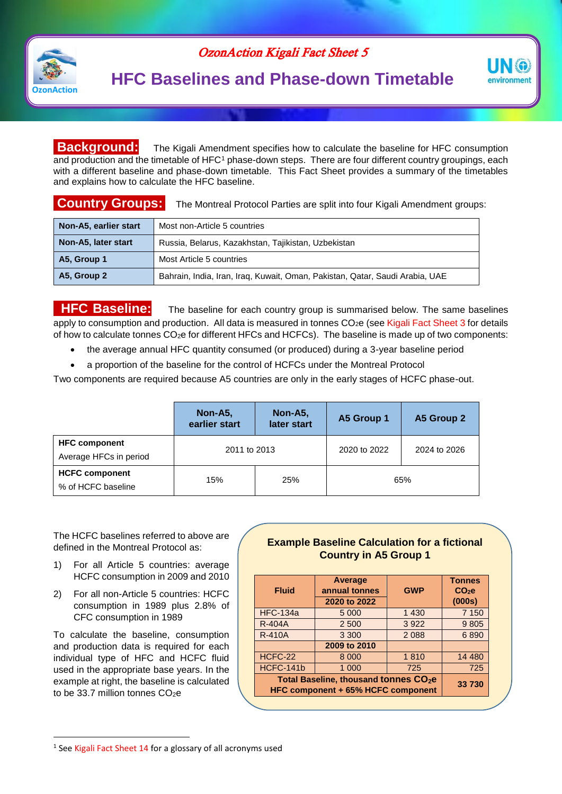

OzonAction Kigali Fact Sheet 5

# **HFC Baselines and Phase-down Timetable**



#### **Background:** The Kigali Amendment specifies how to calculate the baseline for HFC consumption and production and the timetable of HFC<sup>1</sup> phase-down steps. There are four different country groupings, each with a different baseline and phase-down timetable. This Fact Sheet provides a summary of the timetables and explains how to calculate the HFC baseline.

### **Country Groups:** The Montreal Protocol Parties are split into four Kigali Amendment groups:

| Non-A5, earlier start | Most non-Article 5 countries                                                 |  |  |
|-----------------------|------------------------------------------------------------------------------|--|--|
| Non-A5, later start   | Russia, Belarus, Kazakhstan, Tajikistan, Uzbekistan                          |  |  |
| A5, Group 1           | Most Article 5 countries                                                     |  |  |
| A5, Group 2           | Bahrain, India, Iran, Iraq, Kuwait, Oman, Pakistan, Qatar, Saudi Arabia, UAE |  |  |

**HFC Baseline:** The baseline for each country group is summarised below. The same baselines apply to consumption and production. All data is measured in tonnes CO<sub>2</sub>e (see Kigali Fact Sheet 3 for details of how to calculate tonnes CO2e for different HFCs and HCFCs). The baseline is made up of two components:

- the average annual HFC quantity consumed (or produced) during a 3-year baseline period
- a proportion of the baseline for the control of HCFCs under the Montreal Protocol

Two components are required because A5 countries are only in the early stages of HCFC phase-out.

|                                                | Non-A5,<br>earlier start | Non-A5,<br>later start | A5 Group 1   | A5 Group 2   |
|------------------------------------------------|--------------------------|------------------------|--------------|--------------|
| <b>HFC component</b><br>Average HFCs in period | 2011 to 2013             |                        | 2020 to 2022 | 2024 to 2026 |
| <b>HCFC component</b><br>% of HCFC baseline    | 15%                      | 25%                    | 65%          |              |

The HCFC baselines referred to above are defined in the Montreal Protocol as:

- 1) For all Article 5 countries: average HCFC consumption in 2009 and 2010
- 2) For all non-Article 5 countries: HCFC consumption in 1989 plus 2.8% of CFC consumption in 1989

To calculate the baseline, consumption and production data is required for each individual type of HFC and HCFC fluid used in the appropriate base years. In the example at right, the baseline is calculated to be 33.7 million tonnes  $CO<sub>2</sub>e$ 

 $\overline{a}$ 

#### **Example Baseline Calculation for a fictional Country in A5 Group 1**

| <b>Fluid</b>                                                                            | Average<br>annual tonnes<br>2020 to 2022 | <b>GWP</b> | <b>Tonnes</b><br>$CO2$ e<br>(000s) |
|-----------------------------------------------------------------------------------------|------------------------------------------|------------|------------------------------------|
| <b>HFC-134a</b>                                                                         | 5 0 0 0                                  | 1 4 3 0    | 7 1 5 0                            |
| <b>R-404A</b>                                                                           | 2 500                                    | 3922       | 9805                               |
| <b>R-410A</b>                                                                           | 3 3 0 0                                  | 2 0 8 8    | 6890                               |
|                                                                                         | 2009 to 2010                             |            |                                    |
| HCFC-22                                                                                 | 8 0 0 0                                  | 1810       | 14 4 8 0                           |
| HCFC-141b                                                                               | 1 0 0 0                                  | 725        | 725                                |
| Total Baseline, thousand tonnes CO <sub>2</sub> e<br>HFC component + 65% HCFC component | 33 730                                   |            |                                    |

<sup>&</sup>lt;sup>1</sup> See Kigali Fact Sheet 14 for a glossary of all acronyms used